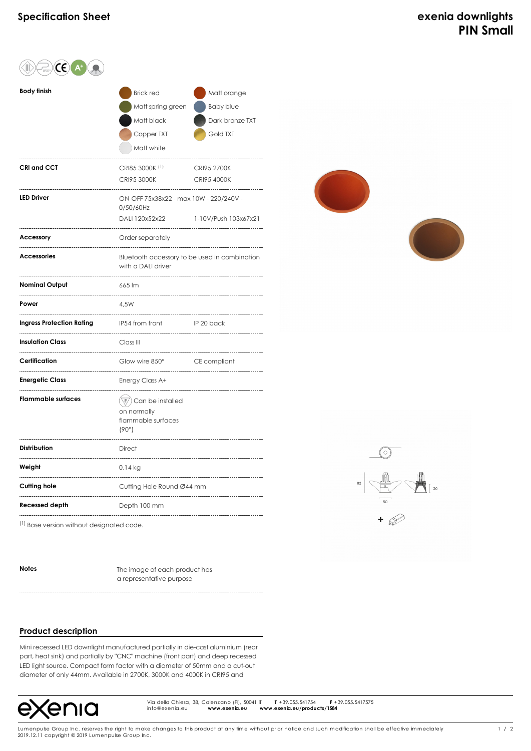| $\mathsf{CE}(A)$                 |                                                                                                     |                                                                |
|----------------------------------|-----------------------------------------------------------------------------------------------------|----------------------------------------------------------------|
| <b>Body finish</b>               | <b>Brick red</b><br>Matt spring green<br>Matt black<br>Copper TXT<br>Matt white                     | Matt orange<br><b>Baby blue</b><br>Dark bronze TXT<br>Gold TXT |
| <b>CRI and CCT</b>               | CRI85 3000K <sup>(1)</sup><br><b>CRI95 3000K</b>                                                    | CRI95 2700K<br>CRI95 4000K                                     |
| <b>LED Driver</b>                | ON-OFF 75x38x22 - max 10W - 220/240V -<br>0/50/60Hz<br>DALI 120x52x22                               | 1-10V/Push 103x67x21                                           |
| Accessory                        | Order separately                                                                                    |                                                                |
| <b>Accessories</b>               | Bluetooth accessory to be used in combination<br>with a DALI driver                                 |                                                                |
| <b>Nominal Output</b>            | 665 lm                                                                                              |                                                                |
| Power                            | 4,5W                                                                                                |                                                                |
| <b>Ingress Protection Rating</b> | IP54 from front                                                                                     | IP 20 back                                                     |
| <b>Insulation Class</b>          | Class III                                                                                           |                                                                |
| Certification                    | Glow wire 850°                                                                                      | CE compliant                                                   |
| <b>Energetic Class</b>           | Energy Class A+                                                                                     |                                                                |
| <b>Flammable surfaces</b>        | $\left(\overline{\mathbb{F}}\right)$ Can be installed<br>on normally<br>flammable surfaces<br>(90°) |                                                                |
| <b>Distribution</b>              | <b>Direct</b>                                                                                       |                                                                |
| Weight                           | $0.14$ kg                                                                                           |                                                                |
| Cutting hole                     | Cutting Hole Round Ø44 mm                                                                           |                                                                |
| Recessed depth                   | Depth 100 mm                                                                                        |                                                                |
|                                  |                                                                                                     |                                                                |





(1) Base version without designated code.

**Notes** The image of each product has a representative purpose

## **Product description**

Mini recessed LED downlight manufactured partially in die-cast aluminium (rear part, heat sink) and partially by "CNC" machine (front part) and deep recessed LED light source. Compact form factor with a diameter of 50mm and a cut-out diameter of only 44mm. Available in 2700K, 3000K and 4000K in CRI95 and



Via della Chiesa, 38, Calenzano (FI), 50041 IT **T** +39.055.541754 **F** +39.055.5417575 Via della Chiesa, 38, Calenzano (FI), 50041 IT<br>info@exenia.eu **www.exenia.eu w**